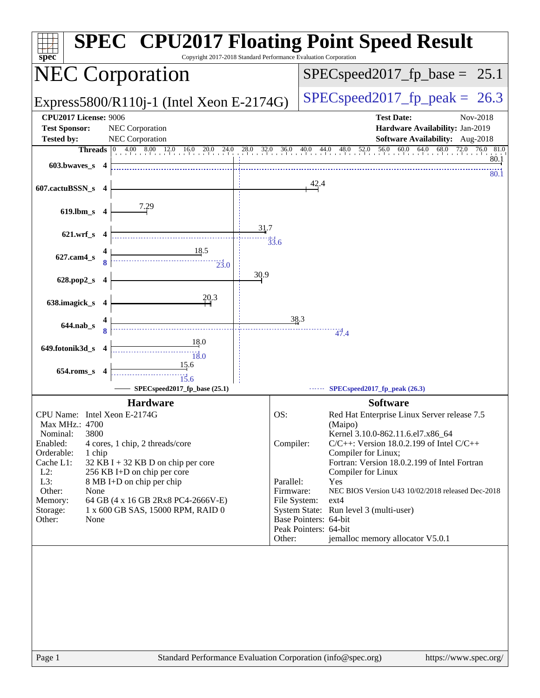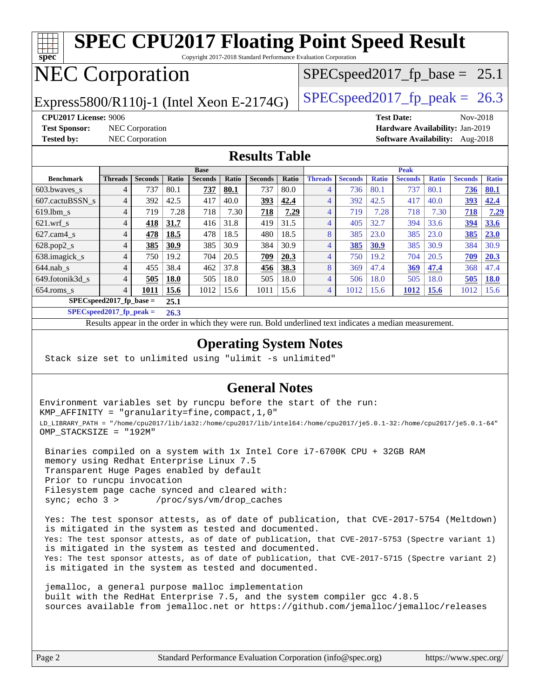#### **[spec](http://www.spec.org/) [SPEC CPU2017 Floating Point Speed Result](http://www.spec.org/auto/cpu2017/Docs/result-fields.html#SPECCPU2017FloatingPointSpeedResult)** Copyright 2017-2018 Standard Performance Evaluation Corporation NEC Corporation Express5800/R110j-1 (Intel Xeon E-2174G)  $\left|$  [SPECspeed2017\\_fp\\_peak =](http://www.spec.org/auto/cpu2017/Docs/result-fields.html#SPECspeed2017fppeak) 26.3  $SPECspeed2017_fp\_base = 25.1$ **[CPU2017 License:](http://www.spec.org/auto/cpu2017/Docs/result-fields.html#CPU2017License)** 9006 **[Test Date:](http://www.spec.org/auto/cpu2017/Docs/result-fields.html#TestDate)** Nov-2018 **[Test Sponsor:](http://www.spec.org/auto/cpu2017/Docs/result-fields.html#TestSponsor)** NEC Corporation **[Hardware Availability:](http://www.spec.org/auto/cpu2017/Docs/result-fields.html#HardwareAvailability)** Jan-2019 **[Tested by:](http://www.spec.org/auto/cpu2017/Docs/result-fields.html#Testedby)** NEC Corporation **[Software Availability:](http://www.spec.org/auto/cpu2017/Docs/result-fields.html#SoftwareAvailability)** Aug-2018 **[Results Table](http://www.spec.org/auto/cpu2017/Docs/result-fields.html#ResultsTable) [Benchmark](http://www.spec.org/auto/cpu2017/Docs/result-fields.html#Benchmark) [Threads](http://www.spec.org/auto/cpu2017/Docs/result-fields.html#Threads) [Seconds](http://www.spec.org/auto/cpu2017/Docs/result-fields.html#Seconds) [Ratio](http://www.spec.org/auto/cpu2017/Docs/result-fields.html#Ratio) [Seconds](http://www.spec.org/auto/cpu2017/Docs/result-fields.html#Seconds) [Ratio](http://www.spec.org/auto/cpu2017/Docs/result-fields.html#Ratio) [Seconds](http://www.spec.org/auto/cpu2017/Docs/result-fields.html#Seconds) [Ratio](http://www.spec.org/auto/cpu2017/Docs/result-fields.html#Ratio) Base [Threads](http://www.spec.org/auto/cpu2017/Docs/result-fields.html#Threads) [Seconds](http://www.spec.org/auto/cpu2017/Docs/result-fields.html#Seconds) [Ratio](http://www.spec.org/auto/cpu2017/Docs/result-fields.html#Ratio) [Seconds](http://www.spec.org/auto/cpu2017/Docs/result-fields.html#Seconds) [Ratio](http://www.spec.org/auto/cpu2017/Docs/result-fields.html#Ratio) [Seconds](http://www.spec.org/auto/cpu2017/Docs/result-fields.html#Seconds) [Ratio](http://www.spec.org/auto/cpu2017/Docs/result-fields.html#Ratio) Peak** [603.bwaves\\_s](http://www.spec.org/auto/cpu2017/Docs/benchmarks/603.bwaves_s.html) 4 737 80.1 **[737](http://www.spec.org/auto/cpu2017/Docs/result-fields.html#Median) [80.1](http://www.spec.org/auto/cpu2017/Docs/result-fields.html#Median)** 737 80.0 4 736 80.1 737 80.1 **[736](http://www.spec.org/auto/cpu2017/Docs/result-fields.html#Median) [80.1](http://www.spec.org/auto/cpu2017/Docs/result-fields.html#Median)** [607.cactuBSSN\\_s](http://www.spec.org/auto/cpu2017/Docs/benchmarks/607.cactuBSSN_s.html) 4 392 42.5 417 40.0 **[393](http://www.spec.org/auto/cpu2017/Docs/result-fields.html#Median) [42.4](http://www.spec.org/auto/cpu2017/Docs/result-fields.html#Median)** 4 392 42.5 417 40.0 **[393](http://www.spec.org/auto/cpu2017/Docs/result-fields.html#Median) [42.4](http://www.spec.org/auto/cpu2017/Docs/result-fields.html#Median)** [619.lbm\\_s](http://www.spec.org/auto/cpu2017/Docs/benchmarks/619.lbm_s.html) 4 719 7.28 718 7.30 **[718](http://www.spec.org/auto/cpu2017/Docs/result-fields.html#Median) [7.29](http://www.spec.org/auto/cpu2017/Docs/result-fields.html#Median)** 4 719 7.28 718 7.30 **[718](http://www.spec.org/auto/cpu2017/Docs/result-fields.html#Median) [7.29](http://www.spec.org/auto/cpu2017/Docs/result-fields.html#Median)** [621.wrf\\_s](http://www.spec.org/auto/cpu2017/Docs/benchmarks/621.wrf_s.html) 4 **[418](http://www.spec.org/auto/cpu2017/Docs/result-fields.html#Median) [31.7](http://www.spec.org/auto/cpu2017/Docs/result-fields.html#Median)** 416 31.8 419 31.5 4 405 32.7 394 33.6 **[394](http://www.spec.org/auto/cpu2017/Docs/result-fields.html#Median) [33.6](http://www.spec.org/auto/cpu2017/Docs/result-fields.html#Median)** [627.cam4\\_s](http://www.spec.org/auto/cpu2017/Docs/benchmarks/627.cam4_s.html) 4 **[478](http://www.spec.org/auto/cpu2017/Docs/result-fields.html#Median) [18.5](http://www.spec.org/auto/cpu2017/Docs/result-fields.html#Median)** 478 18.5 480 18.5 8 385 23.0 385 23.0 **[385](http://www.spec.org/auto/cpu2017/Docs/result-fields.html#Median) [23.0](http://www.spec.org/auto/cpu2017/Docs/result-fields.html#Median)** [628.pop2\\_s](http://www.spec.org/auto/cpu2017/Docs/benchmarks/628.pop2_s.html) 4 **[385](http://www.spec.org/auto/cpu2017/Docs/result-fields.html#Median) [30.9](http://www.spec.org/auto/cpu2017/Docs/result-fields.html#Median)** 385 30.9 384 30.9 4 **[385](http://www.spec.org/auto/cpu2017/Docs/result-fields.html#Median) [30.9](http://www.spec.org/auto/cpu2017/Docs/result-fields.html#Median)** 385 30.9 384 30.9 [638.imagick\\_s](http://www.spec.org/auto/cpu2017/Docs/benchmarks/638.imagick_s.html) 4 750 19.2 704 20.5 **[709](http://www.spec.org/auto/cpu2017/Docs/result-fields.html#Median) [20.3](http://www.spec.org/auto/cpu2017/Docs/result-fields.html#Median)** 4 750 19.2 704 20.5 **[709](http://www.spec.org/auto/cpu2017/Docs/result-fields.html#Median) [20.3](http://www.spec.org/auto/cpu2017/Docs/result-fields.html#Median)** [644.nab\\_s](http://www.spec.org/auto/cpu2017/Docs/benchmarks/644.nab_s.html) 4 455 38.4 462 37.8 **[456](http://www.spec.org/auto/cpu2017/Docs/result-fields.html#Median) [38.3](http://www.spec.org/auto/cpu2017/Docs/result-fields.html#Median)** 8 369 47.4 **[369](http://www.spec.org/auto/cpu2017/Docs/result-fields.html#Median) [47.4](http://www.spec.org/auto/cpu2017/Docs/result-fields.html#Median)** 368 47.4 [649.fotonik3d\\_s](http://www.spec.org/auto/cpu2017/Docs/benchmarks/649.fotonik3d_s.html) 4 **[505](http://www.spec.org/auto/cpu2017/Docs/result-fields.html#Median) [18.0](http://www.spec.org/auto/cpu2017/Docs/result-fields.html#Median)** 505 18.0 505 18.0 4 506 18.0 505 18.0 **[505](http://www.spec.org/auto/cpu2017/Docs/result-fields.html#Median) [18.0](http://www.spec.org/auto/cpu2017/Docs/result-fields.html#Median)** [654.roms\\_s](http://www.spec.org/auto/cpu2017/Docs/benchmarks/654.roms_s.html) 4 **[1011](http://www.spec.org/auto/cpu2017/Docs/result-fields.html#Median) [15.6](http://www.spec.org/auto/cpu2017/Docs/result-fields.html#Median)** 1012 15.6 1011 15.6 4 1012 15.6 **[1012](http://www.spec.org/auto/cpu2017/Docs/result-fields.html#Median) [15.6](http://www.spec.org/auto/cpu2017/Docs/result-fields.html#Median)** 1012 15.6 **[SPECspeed2017\\_fp\\_base =](http://www.spec.org/auto/cpu2017/Docs/result-fields.html#SPECspeed2017fpbase) 25.1**

**[SPECspeed2017\\_fp\\_peak =](http://www.spec.org/auto/cpu2017/Docs/result-fields.html#SPECspeed2017fppeak) 26.3**

Results appear in the [order in which they were run.](http://www.spec.org/auto/cpu2017/Docs/result-fields.html#RunOrder) Bold underlined text [indicates a median measurement](http://www.spec.org/auto/cpu2017/Docs/result-fields.html#Median).

### **[Operating System Notes](http://www.spec.org/auto/cpu2017/Docs/result-fields.html#OperatingSystemNotes)**

Stack size set to unlimited using "ulimit -s unlimited"

### **[General Notes](http://www.spec.org/auto/cpu2017/Docs/result-fields.html#GeneralNotes)**

Environment variables set by runcpu before the start of the run: KMP\_AFFINITY = "granularity=fine,compact,1,0" LD\_LIBRARY\_PATH = "/home/cpu2017/lib/ia32:/home/cpu2017/lib/intel64:/home/cpu2017/je5.0.1-32:/home/cpu2017/je5.0.1-64" OMP\_STACKSIZE = "192M"

 Binaries compiled on a system with 1x Intel Core i7-6700K CPU + 32GB RAM memory using Redhat Enterprise Linux 7.5 Transparent Huge Pages enabled by default Prior to runcpu invocation Filesystem page cache synced and cleared with: sync; echo 3 > /proc/sys/vm/drop\_caches

 Yes: The test sponsor attests, as of date of publication, that CVE-2017-5754 (Meltdown) is mitigated in the system as tested and documented. Yes: The test sponsor attests, as of date of publication, that CVE-2017-5753 (Spectre variant 1) is mitigated in the system as tested and documented. Yes: The test sponsor attests, as of date of publication, that CVE-2017-5715 (Spectre variant 2) is mitigated in the system as tested and documented.

 jemalloc, a general purpose malloc implementation built with the RedHat Enterprise 7.5, and the system compiler gcc 4.8.5 sources available from jemalloc.net or <https://github.com/jemalloc/jemalloc/releases>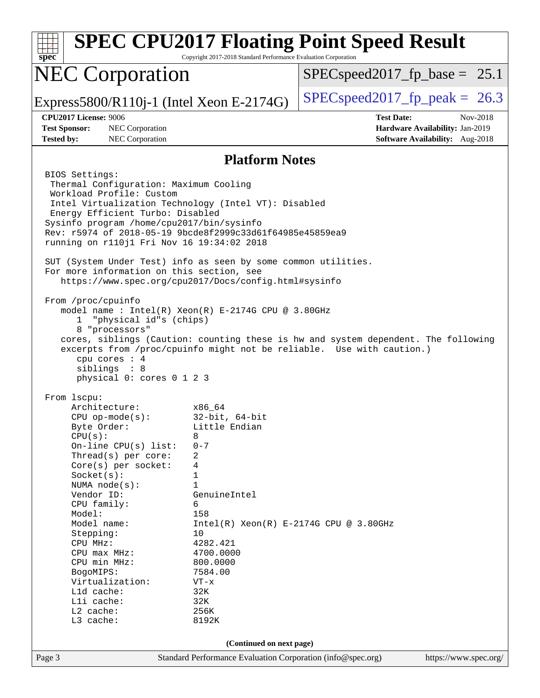| <b>NEC Corporation</b><br>$SPEC speed2017_f p\_base = 25.1$<br>$SPEC speed2017fp peak = 26.3$<br>Express5800/R110j-1 (Intel Xeon E-2174G)<br><b>CPU2017 License: 9006</b><br><b>Test Date:</b><br>Nov-2018<br><b>Test Sponsor:</b><br>NEC Corporation<br>Hardware Availability: Jan-2019<br>NEC Corporation<br>Software Availability: Aug-2018<br><b>Tested by:</b><br><b>Platform Notes</b><br>BIOS Settings:<br>Thermal Configuration: Maximum Cooling<br>Workload Profile: Custom<br>Intel Virtualization Technology (Intel VT): Disabled<br>Energy Efficient Turbo: Disabled<br>Sysinfo program /home/cpu2017/bin/sysinfo<br>Rev: r5974 of 2018-05-19 9bcde8f2999c33d61f64985e45859ea9<br>running on r110j1 Fri Nov 16 19:34:02 2018<br>SUT (System Under Test) info as seen by some common utilities.<br>For more information on this section, see<br>https://www.spec.org/cpu2017/Docs/config.html#sysinfo<br>From /proc/cpuinfo<br>model name : Intel(R) Xeon(R) E-2174G CPU @ 3.80GHz<br>"physical id"s (chips)<br>1.<br>8 "processors"<br>cores, siblings (Caution: counting these is hw and system dependent. The following<br>excerpts from /proc/cpuinfo might not be reliable. Use with caution.)<br>cpu cores : 4<br>siblings : 8<br>physical 0: cores 0 1 2 3<br>From 1scpu:<br>Architecture:<br>x86 64<br>$32$ -bit, $64$ -bit<br>$CPU$ op-mode( $s$ ):<br>Byte Order:<br>Little Endian<br>CPU(s):<br>8<br>$0 - 7$<br>On-line $CPU(s)$ list:<br>Thread(s) per core:<br>2<br>$Core(s)$ per socket:<br>4<br>Socket(s):<br>1<br>$\mathbf{1}$<br>NUMA $node(s)$ :<br>Vendor ID:<br>GenuineIntel<br>CPU family:<br>6<br>Model:<br>158<br>Model name:<br>$Intel(R) Xeon(R) E-2174G CPU @ 3.80GHz$<br>10<br>Stepping:<br>4282.421<br>CPU MHz:<br>4700.0000<br>$CPU$ max $MHz$ :<br>CPU min MHz:<br>800.0000<br>7584.00<br>BogoMIPS:<br>Virtualization:<br>$VT - x$<br>L1d cache:<br>32K<br>Lli cache:<br>32K<br>L2 cache:<br>256K<br>L3 cache:<br>8192K<br>(Continued on next page)<br>https://www.spec.org/<br>Page 3<br>Standard Performance Evaluation Corporation (info@spec.org) | spec | Copyright 2017-2018 Standard Performance Evaluation Corporation | <b>SPEC CPU2017 Floating Point Speed Result</b> |  |  |  |
|------------------------------------------------------------------------------------------------------------------------------------------------------------------------------------------------------------------------------------------------------------------------------------------------------------------------------------------------------------------------------------------------------------------------------------------------------------------------------------------------------------------------------------------------------------------------------------------------------------------------------------------------------------------------------------------------------------------------------------------------------------------------------------------------------------------------------------------------------------------------------------------------------------------------------------------------------------------------------------------------------------------------------------------------------------------------------------------------------------------------------------------------------------------------------------------------------------------------------------------------------------------------------------------------------------------------------------------------------------------------------------------------------------------------------------------------------------------------------------------------------------------------------------------------------------------------------------------------------------------------------------------------------------------------------------------------------------------------------------------------------------------------------------------------------------------------------------------------------------------------------------------------------------------------------------------------------------------------------------------------------------------------------------------------------------------------------------------------|------|-----------------------------------------------------------------|-------------------------------------------------|--|--|--|
|                                                                                                                                                                                                                                                                                                                                                                                                                                                                                                                                                                                                                                                                                                                                                                                                                                                                                                                                                                                                                                                                                                                                                                                                                                                                                                                                                                                                                                                                                                                                                                                                                                                                                                                                                                                                                                                                                                                                                                                                                                                                                                |      |                                                                 |                                                 |  |  |  |
|                                                                                                                                                                                                                                                                                                                                                                                                                                                                                                                                                                                                                                                                                                                                                                                                                                                                                                                                                                                                                                                                                                                                                                                                                                                                                                                                                                                                                                                                                                                                                                                                                                                                                                                                                                                                                                                                                                                                                                                                                                                                                                |      |                                                                 |                                                 |  |  |  |
|                                                                                                                                                                                                                                                                                                                                                                                                                                                                                                                                                                                                                                                                                                                                                                                                                                                                                                                                                                                                                                                                                                                                                                                                                                                                                                                                                                                                                                                                                                                                                                                                                                                                                                                                                                                                                                                                                                                                                                                                                                                                                                |      |                                                                 |                                                 |  |  |  |
|                                                                                                                                                                                                                                                                                                                                                                                                                                                                                                                                                                                                                                                                                                                                                                                                                                                                                                                                                                                                                                                                                                                                                                                                                                                                                                                                                                                                                                                                                                                                                                                                                                                                                                                                                                                                                                                                                                                                                                                                                                                                                                |      |                                                                 |                                                 |  |  |  |
|                                                                                                                                                                                                                                                                                                                                                                                                                                                                                                                                                                                                                                                                                                                                                                                                                                                                                                                                                                                                                                                                                                                                                                                                                                                                                                                                                                                                                                                                                                                                                                                                                                                                                                                                                                                                                                                                                                                                                                                                                                                                                                |      |                                                                 |                                                 |  |  |  |
|                                                                                                                                                                                                                                                                                                                                                                                                                                                                                                                                                                                                                                                                                                                                                                                                                                                                                                                                                                                                                                                                                                                                                                                                                                                                                                                                                                                                                                                                                                                                                                                                                                                                                                                                                                                                                                                                                                                                                                                                                                                                                                |      |                                                                 |                                                 |  |  |  |
|                                                                                                                                                                                                                                                                                                                                                                                                                                                                                                                                                                                                                                                                                                                                                                                                                                                                                                                                                                                                                                                                                                                                                                                                                                                                                                                                                                                                                                                                                                                                                                                                                                                                                                                                                                                                                                                                                                                                                                                                                                                                                                |      |                                                                 |                                                 |  |  |  |
|                                                                                                                                                                                                                                                                                                                                                                                                                                                                                                                                                                                                                                                                                                                                                                                                                                                                                                                                                                                                                                                                                                                                                                                                                                                                                                                                                                                                                                                                                                                                                                                                                                                                                                                                                                                                                                                                                                                                                                                                                                                                                                |      |                                                                 |                                                 |  |  |  |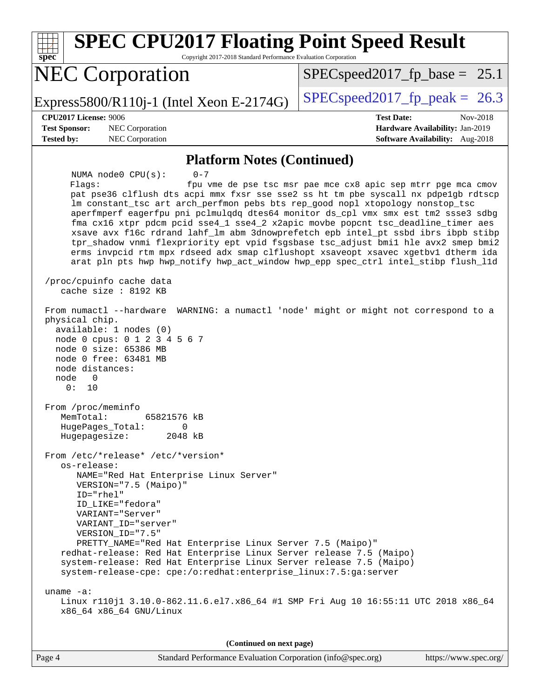| <b>SPEC CPU2017 Floating Point Speed Result</b><br>Copyright 2017-2018 Standard Performance Evaluation Corporation<br>spec <sup>®</sup>                                                                                                                                                                                                                                                                                                                                                                                                                                                                                                                                                                                                                                                                                                                                                                                                                                                                                                                                                                                                                                                                                                                                                                                                                                                                                                                                                                                                                                       |                                                                                                     |  |  |  |
|-------------------------------------------------------------------------------------------------------------------------------------------------------------------------------------------------------------------------------------------------------------------------------------------------------------------------------------------------------------------------------------------------------------------------------------------------------------------------------------------------------------------------------------------------------------------------------------------------------------------------------------------------------------------------------------------------------------------------------------------------------------------------------------------------------------------------------------------------------------------------------------------------------------------------------------------------------------------------------------------------------------------------------------------------------------------------------------------------------------------------------------------------------------------------------------------------------------------------------------------------------------------------------------------------------------------------------------------------------------------------------------------------------------------------------------------------------------------------------------------------------------------------------------------------------------------------------|-----------------------------------------------------------------------------------------------------|--|--|--|
| <b>NEC Corporation</b>                                                                                                                                                                                                                                                                                                                                                                                                                                                                                                                                                                                                                                                                                                                                                                                                                                                                                                                                                                                                                                                                                                                                                                                                                                                                                                                                                                                                                                                                                                                                                        | $SPEC speed2017_f p\_base = 25.1$                                                                   |  |  |  |
| Express5800/R110j-1 (Intel Xeon E-2174G)                                                                                                                                                                                                                                                                                                                                                                                                                                                                                                                                                                                                                                                                                                                                                                                                                                                                                                                                                                                                                                                                                                                                                                                                                                                                                                                                                                                                                                                                                                                                      | $SPEC speed2017$ _fp_peak = 26.3                                                                    |  |  |  |
| CPU2017 License: 9006<br><b>Test Sponsor:</b><br>NEC Corporation<br><b>Tested by:</b><br>NEC Corporation                                                                                                                                                                                                                                                                                                                                                                                                                                                                                                                                                                                                                                                                                                                                                                                                                                                                                                                                                                                                                                                                                                                                                                                                                                                                                                                                                                                                                                                                      | <b>Test Date:</b><br>Nov-2018<br>Hardware Availability: Jan-2019<br>Software Availability: Aug-2018 |  |  |  |
|                                                                                                                                                                                                                                                                                                                                                                                                                                                                                                                                                                                                                                                                                                                                                                                                                                                                                                                                                                                                                                                                                                                                                                                                                                                                                                                                                                                                                                                                                                                                                                               |                                                                                                     |  |  |  |
| <b>Platform Notes (Continued)</b><br>$0 - 7$<br>NUMA $node0$ $CPU(s)$ :<br>Flaqs:<br>fpu vme de pse tsc msr pae mce cx8 apic sep mtrr pge mca cmov<br>pat pse36 clflush dts acpi mmx fxsr sse sse2 ss ht tm pbe syscall nx pdpe1gb rdtscp<br>lm constant_tsc art arch_perfmon pebs bts rep_good nopl xtopology nonstop_tsc<br>aperfmperf eagerfpu pni pclmulqdq dtes64 monitor ds_cpl vmx smx est tm2 ssse3 sdbg<br>fma cx16 xtpr pdcm pcid sse4_1 sse4_2 x2apic movbe popcnt tsc_deadline_timer aes<br>xsave avx f16c rdrand lahf_lm abm 3dnowprefetch epb intel_pt ssbd ibrs ibpb stibp<br>tpr_shadow vnmi flexpriority ept vpid fsgsbase tsc_adjust bmil hle avx2 smep bmi2<br>erms invpcid rtm mpx rdseed adx smap clflushopt xsaveopt xsavec xgetbvl dtherm ida<br>arat pln pts hwp hwp_notify hwp_act_window hwp_epp spec_ctrl intel_stibp flush_l1d<br>/proc/cpuinfo cache data<br>cache size : 8192 KB<br>WARNING: a numactl 'node' might or might not correspond to a<br>From numactl --hardware<br>physical chip.<br>available: 1 nodes (0)<br>node 0 cpus: 0 1 2 3 4 5 6 7<br>node 0 size: 65386 MB<br>node 0 free: 63481 MB<br>node distances:<br>node<br>0<br>0 :<br>10<br>From /proc/meminfo<br>65821576 kB<br>MemTotal:<br>HugePages_Total: 0<br>2048 kB<br>Hugepagesize:<br>From /etc/*release* /etc/*version*<br>os-release:<br>NAME="Red Hat Enterprise Linux Server"<br>VERSION="7.5 (Maipo)"<br>ID="rhel"<br>ID_LIKE="fedora"<br>VARIANT="Server"<br>VARIANT_ID="server"<br>VERSION ID="7.5"<br>PRETTY_NAME="Red Hat Enterprise Linux Server 7.5 (Maipo)" |                                                                                                     |  |  |  |
| uname $-a$ :<br>Linux r110j1 3.10.0-862.11.6.el7.x86_64 #1 SMP Fri Aug 10 16:55:11 UTC 2018 x86_64<br>x86_64 x86_64 GNU/Linux                                                                                                                                                                                                                                                                                                                                                                                                                                                                                                                                                                                                                                                                                                                                                                                                                                                                                                                                                                                                                                                                                                                                                                                                                                                                                                                                                                                                                                                 |                                                                                                     |  |  |  |
| (Continued on next page)                                                                                                                                                                                                                                                                                                                                                                                                                                                                                                                                                                                                                                                                                                                                                                                                                                                                                                                                                                                                                                                                                                                                                                                                                                                                                                                                                                                                                                                                                                                                                      |                                                                                                     |  |  |  |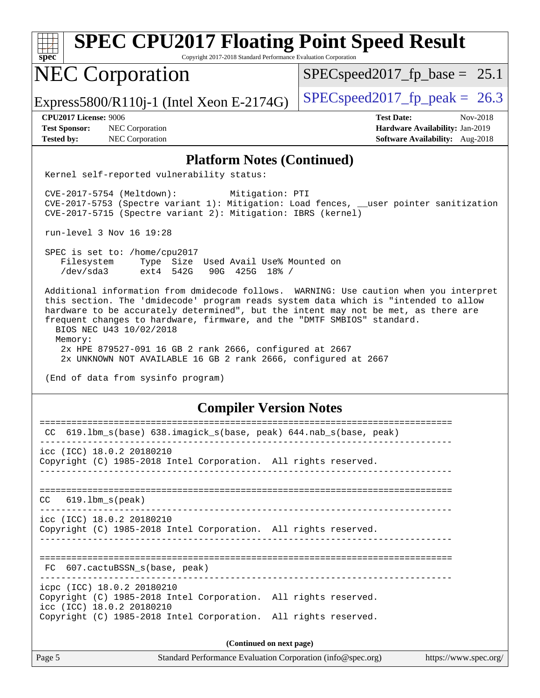| <b>SPEC CPU2017 Floating Point Speed Result</b><br>spec <sup>®</sup><br>Copyright 2017-2018 Standard Performance Evaluation Corporation                                                                                                                                                                                                                                                                                                                                                                                                                                                                 |                                                                    |  |  |  |
|---------------------------------------------------------------------------------------------------------------------------------------------------------------------------------------------------------------------------------------------------------------------------------------------------------------------------------------------------------------------------------------------------------------------------------------------------------------------------------------------------------------------------------------------------------------------------------------------------------|--------------------------------------------------------------------|--|--|--|
| <b>NEC Corporation</b>                                                                                                                                                                                                                                                                                                                                                                                                                                                                                                                                                                                  | $SPEC speed2017_f p\_base = 25.1$                                  |  |  |  |
| Express5800/R110j-1 (Intel Xeon E-2174G)                                                                                                                                                                                                                                                                                                                                                                                                                                                                                                                                                                | $SPEC speed2017fp peak = 26.3$                                     |  |  |  |
| <b>CPU2017 License: 9006</b>                                                                                                                                                                                                                                                                                                                                                                                                                                                                                                                                                                            | <b>Test Date:</b><br>Nov-2018                                      |  |  |  |
| <b>Test Sponsor:</b><br>NEC Corporation<br><b>Tested by:</b><br>NEC Corporation                                                                                                                                                                                                                                                                                                                                                                                                                                                                                                                         | Hardware Availability: Jan-2019<br>Software Availability: Aug-2018 |  |  |  |
|                                                                                                                                                                                                                                                                                                                                                                                                                                                                                                                                                                                                         |                                                                    |  |  |  |
| <b>Platform Notes (Continued)</b>                                                                                                                                                                                                                                                                                                                                                                                                                                                                                                                                                                       |                                                                    |  |  |  |
| Kernel self-reported vulnerability status:<br>$CVE-2017-5754$ (Meltdown):<br>Mitigation: PTI<br>CVE-2017-5753 (Spectre variant 1): Mitigation: Load fences, __user pointer sanitization<br>CVE-2017-5715 (Spectre variant 2): Mitigation: IBRS (kernel)<br>run-level 3 Nov 16 19:28<br>SPEC is set to: /home/cpu2017<br>Filesystem<br>Type Size Used Avail Use% Mounted on<br>/dev/sda3<br>ext4 542G<br>90G 425G 18% /<br>Additional information from dmidecode follows. WARNING: Use caution when you interpret<br>this section. The 'dmidecode' program reads system data which is "intended to allow |                                                                    |  |  |  |
| hardware to be accurately determined", but the intent may not be met, as there are<br>frequent changes to hardware, firmware, and the "DMTF SMBIOS" standard.<br>BIOS NEC U43 10/02/2018<br>Memory:<br>2x HPE 879527-091 16 GB 2 rank 2666, configured at 2667<br>2x UNKNOWN NOT AVAILABLE 16 GB 2 rank 2666, configured at 2667<br>(End of data from sysinfo program)                                                                                                                                                                                                                                  |                                                                    |  |  |  |
| <b>Compiler Version Notes</b>                                                                                                                                                                                                                                                                                                                                                                                                                                                                                                                                                                           |                                                                    |  |  |  |
| CC 619.1bm_s(base) 638.imagick_s(base, peak) 644.nab_s(base, peak)                                                                                                                                                                                                                                                                                                                                                                                                                                                                                                                                      |                                                                    |  |  |  |
| icc (ICC) 18.0.2 20180210<br>Copyright (C) 1985-2018 Intel Corporation. All rights reserved.                                                                                                                                                                                                                                                                                                                                                                                                                                                                                                            |                                                                    |  |  |  |
| $CC$ $619.1bm_s(peak)$<br>icc (ICC) 18.0.2 20180210<br>Copyright (C) 1985-2018 Intel Corporation. All rights reserved.                                                                                                                                                                                                                                                                                                                                                                                                                                                                                  |                                                                    |  |  |  |
| FC 607.cactuBSSN_s(base, peak)                                                                                                                                                                                                                                                                                                                                                                                                                                                                                                                                                                          |                                                                    |  |  |  |
| icpc (ICC) 18.0.2 20180210<br>Copyright (C) 1985-2018 Intel Corporation. All rights reserved.<br>icc (ICC) 18.0.2 20180210<br>Copyright (C) 1985-2018 Intel Corporation. All rights reserved.                                                                                                                                                                                                                                                                                                                                                                                                           |                                                                    |  |  |  |
| (Continued on next page)                                                                                                                                                                                                                                                                                                                                                                                                                                                                                                                                                                                |                                                                    |  |  |  |
| Page 5<br>Standard Performance Evaluation Corporation (info@spec.org)                                                                                                                                                                                                                                                                                                                                                                                                                                                                                                                                   | https://www.spec.org/                                              |  |  |  |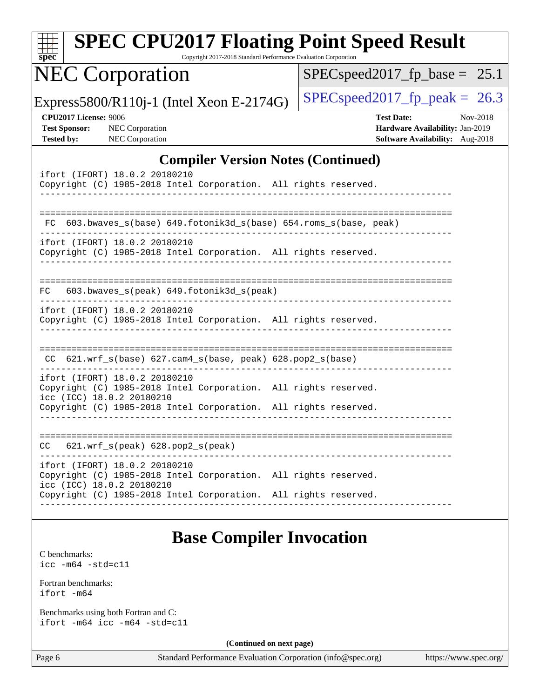| <b>SPEC CPU2017 Floating Point Speed Result</b><br>spec <sup>®</sup><br>Copyright 2017-2018 Standard Performance Evaluation Corporation                                                                                           |                                                                                                     |
|-----------------------------------------------------------------------------------------------------------------------------------------------------------------------------------------------------------------------------------|-----------------------------------------------------------------------------------------------------|
| <b>NEC Corporation</b>                                                                                                                                                                                                            | $SPEC speed2017_f p\_base = 25.1$                                                                   |
| Express5800/R110j-1 (Intel Xeon E-2174G)                                                                                                                                                                                          | $SPEC speed2017fp peak = 26.3$                                                                      |
| <b>CPU2017 License: 9006</b><br><b>Test Sponsor:</b><br><b>NEC</b> Corporation<br><b>NEC Corporation</b><br><b>Tested by:</b>                                                                                                     | <b>Test Date:</b><br>Nov-2018<br>Hardware Availability: Jan-2019<br>Software Availability: Aug-2018 |
| <b>Compiler Version Notes (Continued)</b>                                                                                                                                                                                         |                                                                                                     |
| ifort (IFORT) 18.0.2 20180210<br>Copyright (C) 1985-2018 Intel Corporation. All rights reserved.                                                                                                                                  |                                                                                                     |
| 603.bwaves_s(base) 649.fotonik3d_s(base) 654.roms_s(base, peak)<br>FC<br>ifort (IFORT) 18.0.2 20180210<br>Copyright (C) 1985-2018 Intel Corporation. All rights reserved.                                                         |                                                                                                     |
| 603.bwaves_s(peak) 649.fotonik3d_s(peak)<br>FC.<br>ifort (IFORT) 18.0.2 20180210                                                                                                                                                  | -------------------------------                                                                     |
| Copyright (C) 1985-2018 Intel Corporation. All rights reserved.<br>CC 621.wrf_s(base) 627.cam4_s(base, peak) 628.pop2_s(base)<br>ifort (IFORT) 18.0.2 20180210<br>Copyright (C) 1985-2018 Intel Corporation. All rights reserved. |                                                                                                     |
| icc (ICC) 18.0.2 20180210<br>Copyright (C) 1985-2018 Intel Corporation. All rights reserved.                                                                                                                                      |                                                                                                     |
| 621.wrf_s(peak) 628.pop2_s(peak)<br>CC.                                                                                                                                                                                           |                                                                                                     |
| ifort (IFORT) 18.0.2 20180210<br>Copyright (C) 1985-2018 Intel Corporation. All rights reserved.<br>icc (ICC) 18.0.2 20180210<br>Copyright (C) 1985-2018 Intel Corporation. All rights reserved.                                  |                                                                                                     |
| <b>Base Compiler Invocation</b>                                                                                                                                                                                                   |                                                                                                     |
| C benchmarks:<br>$\text{icc}$ -m64 -std=c11                                                                                                                                                                                       |                                                                                                     |
| Fortran benchmarks:<br>$ifort -m64$                                                                                                                                                                                               |                                                                                                     |
| Benchmarks using both Fortran and C:<br>ifort $-m64$ icc $-m64$ $-std= c11$                                                                                                                                                       |                                                                                                     |

**(Continued on next page)**

Page 6 Standard Performance Evaluation Corporation [\(info@spec.org\)](mailto:info@spec.org) <https://www.spec.org/>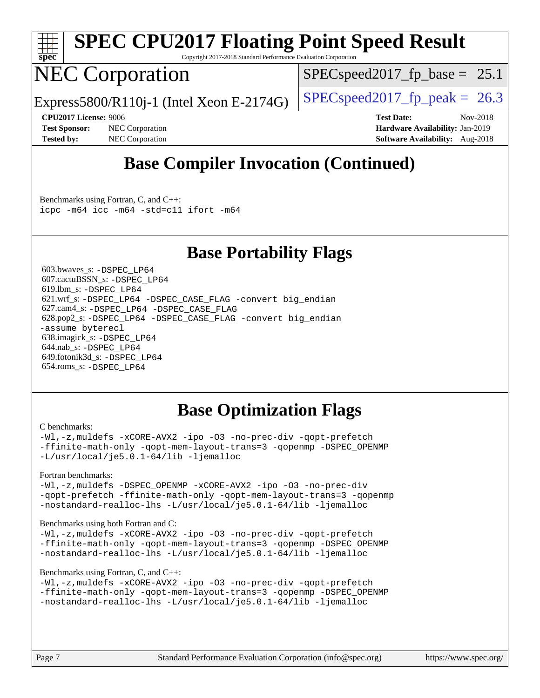

# **[SPEC CPU2017 Floating Point Speed Result](http://www.spec.org/auto/cpu2017/Docs/result-fields.html#SPECCPU2017FloatingPointSpeedResult)**

Copyright 2017-2018 Standard Performance Evaluation Corporation

## NEC Corporation

 $SPECspeed2017_fp\_base = 25.1$ 

Express5800/R110j-1 (Intel Xeon E-2174G)  $\left|$  [SPECspeed2017\\_fp\\_peak =](http://www.spec.org/auto/cpu2017/Docs/result-fields.html#SPECspeed2017fppeak) 26.3

**[Test Sponsor:](http://www.spec.org/auto/cpu2017/Docs/result-fields.html#TestSponsor)** NEC Corporation **[Hardware Availability:](http://www.spec.org/auto/cpu2017/Docs/result-fields.html#HardwareAvailability)** Jan-2019 **[Tested by:](http://www.spec.org/auto/cpu2017/Docs/result-fields.html#Testedby)** NEC Corporation **[Software Availability:](http://www.spec.org/auto/cpu2017/Docs/result-fields.html#SoftwareAvailability)** Aug-2018

**[CPU2017 License:](http://www.spec.org/auto/cpu2017/Docs/result-fields.html#CPU2017License)** 9006 **[Test Date:](http://www.spec.org/auto/cpu2017/Docs/result-fields.html#TestDate)** Nov-2018

## **[Base Compiler Invocation \(Continued\)](http://www.spec.org/auto/cpu2017/Docs/result-fields.html#BaseCompilerInvocation)**

[Benchmarks using Fortran, C, and C++:](http://www.spec.org/auto/cpu2017/Docs/result-fields.html#BenchmarksusingFortranCandCXX) [icpc -m64](http://www.spec.org/cpu2017/results/res2018q4/cpu2017-20181210-10056.flags.html#user_CC_CXX_FCbase_intel_icpc_64bit_4ecb2543ae3f1412ef961e0650ca070fec7b7afdcd6ed48761b84423119d1bf6bdf5cad15b44d48e7256388bc77273b966e5eb805aefd121eb22e9299b2ec9d9) [icc -m64 -std=c11](http://www.spec.org/cpu2017/results/res2018q4/cpu2017-20181210-10056.flags.html#user_CC_CXX_FCbase_intel_icc_64bit_c11_33ee0cdaae7deeeab2a9725423ba97205ce30f63b9926c2519791662299b76a0318f32ddfffdc46587804de3178b4f9328c46fa7c2b0cd779d7a61945c91cd35) [ifort -m64](http://www.spec.org/cpu2017/results/res2018q4/cpu2017-20181210-10056.flags.html#user_CC_CXX_FCbase_intel_ifort_64bit_24f2bb282fbaeffd6157abe4f878425411749daecae9a33200eee2bee2fe76f3b89351d69a8130dd5949958ce389cf37ff59a95e7a40d588e8d3a57e0c3fd751)

## **[Base Portability Flags](http://www.spec.org/auto/cpu2017/Docs/result-fields.html#BasePortabilityFlags)**

 603.bwaves\_s: [-DSPEC\\_LP64](http://www.spec.org/cpu2017/results/res2018q4/cpu2017-20181210-10056.flags.html#suite_basePORTABILITY603_bwaves_s_DSPEC_LP64) 607.cactuBSSN\_s: [-DSPEC\\_LP64](http://www.spec.org/cpu2017/results/res2018q4/cpu2017-20181210-10056.flags.html#suite_basePORTABILITY607_cactuBSSN_s_DSPEC_LP64) 619.lbm\_s: [-DSPEC\\_LP64](http://www.spec.org/cpu2017/results/res2018q4/cpu2017-20181210-10056.flags.html#suite_basePORTABILITY619_lbm_s_DSPEC_LP64) 621.wrf\_s: [-DSPEC\\_LP64](http://www.spec.org/cpu2017/results/res2018q4/cpu2017-20181210-10056.flags.html#suite_basePORTABILITY621_wrf_s_DSPEC_LP64) [-DSPEC\\_CASE\\_FLAG](http://www.spec.org/cpu2017/results/res2018q4/cpu2017-20181210-10056.flags.html#b621.wrf_s_baseCPORTABILITY_DSPEC_CASE_FLAG) [-convert big\\_endian](http://www.spec.org/cpu2017/results/res2018q4/cpu2017-20181210-10056.flags.html#user_baseFPORTABILITY621_wrf_s_convert_big_endian_c3194028bc08c63ac5d04de18c48ce6d347e4e562e8892b8bdbdc0214820426deb8554edfa529a3fb25a586e65a3d812c835984020483e7e73212c4d31a38223) 627.cam4\_s: [-DSPEC\\_LP64](http://www.spec.org/cpu2017/results/res2018q4/cpu2017-20181210-10056.flags.html#suite_basePORTABILITY627_cam4_s_DSPEC_LP64) [-DSPEC\\_CASE\\_FLAG](http://www.spec.org/cpu2017/results/res2018q4/cpu2017-20181210-10056.flags.html#b627.cam4_s_baseCPORTABILITY_DSPEC_CASE_FLAG) 628.pop2\_s: [-DSPEC\\_LP64](http://www.spec.org/cpu2017/results/res2018q4/cpu2017-20181210-10056.flags.html#suite_basePORTABILITY628_pop2_s_DSPEC_LP64) [-DSPEC\\_CASE\\_FLAG](http://www.spec.org/cpu2017/results/res2018q4/cpu2017-20181210-10056.flags.html#b628.pop2_s_baseCPORTABILITY_DSPEC_CASE_FLAG) [-convert big\\_endian](http://www.spec.org/cpu2017/results/res2018q4/cpu2017-20181210-10056.flags.html#user_baseFPORTABILITY628_pop2_s_convert_big_endian_c3194028bc08c63ac5d04de18c48ce6d347e4e562e8892b8bdbdc0214820426deb8554edfa529a3fb25a586e65a3d812c835984020483e7e73212c4d31a38223) [-assume byterecl](http://www.spec.org/cpu2017/results/res2018q4/cpu2017-20181210-10056.flags.html#user_baseFPORTABILITY628_pop2_s_assume_byterecl_7e47d18b9513cf18525430bbf0f2177aa9bf368bc7a059c09b2c06a34b53bd3447c950d3f8d6c70e3faf3a05c8557d66a5798b567902e8849adc142926523472) 638.imagick\_s: [-DSPEC\\_LP64](http://www.spec.org/cpu2017/results/res2018q4/cpu2017-20181210-10056.flags.html#suite_basePORTABILITY638_imagick_s_DSPEC_LP64) 644.nab\_s: [-DSPEC\\_LP64](http://www.spec.org/cpu2017/results/res2018q4/cpu2017-20181210-10056.flags.html#suite_basePORTABILITY644_nab_s_DSPEC_LP64) 649.fotonik3d\_s: [-DSPEC\\_LP64](http://www.spec.org/cpu2017/results/res2018q4/cpu2017-20181210-10056.flags.html#suite_basePORTABILITY649_fotonik3d_s_DSPEC_LP64) 654.roms\_s: [-DSPEC\\_LP64](http://www.spec.org/cpu2017/results/res2018q4/cpu2017-20181210-10056.flags.html#suite_basePORTABILITY654_roms_s_DSPEC_LP64)

## **[Base Optimization Flags](http://www.spec.org/auto/cpu2017/Docs/result-fields.html#BaseOptimizationFlags)**

#### [C benchmarks](http://www.spec.org/auto/cpu2017/Docs/result-fields.html#Cbenchmarks):

[-Wl,-z,muldefs](http://www.spec.org/cpu2017/results/res2018q4/cpu2017-20181210-10056.flags.html#user_CCbase_link_force_multiple1_b4cbdb97b34bdee9ceefcfe54f4c8ea74255f0b02a4b23e853cdb0e18eb4525ac79b5a88067c842dd0ee6996c24547a27a4b99331201badda8798ef8a743f577) [-xCORE-AVX2](http://www.spec.org/cpu2017/results/res2018q4/cpu2017-20181210-10056.flags.html#user_CCbase_f-xCORE-AVX2) [-ipo](http://www.spec.org/cpu2017/results/res2018q4/cpu2017-20181210-10056.flags.html#user_CCbase_f-ipo) [-O3](http://www.spec.org/cpu2017/results/res2018q4/cpu2017-20181210-10056.flags.html#user_CCbase_f-O3) [-no-prec-div](http://www.spec.org/cpu2017/results/res2018q4/cpu2017-20181210-10056.flags.html#user_CCbase_f-no-prec-div) [-qopt-prefetch](http://www.spec.org/cpu2017/results/res2018q4/cpu2017-20181210-10056.flags.html#user_CCbase_f-qopt-prefetch) [-ffinite-math-only](http://www.spec.org/cpu2017/results/res2018q4/cpu2017-20181210-10056.flags.html#user_CCbase_f_finite_math_only_cb91587bd2077682c4b38af759c288ed7c732db004271a9512da14a4f8007909a5f1427ecbf1a0fb78ff2a814402c6114ac565ca162485bbcae155b5e4258871) [-qopt-mem-layout-trans=3](http://www.spec.org/cpu2017/results/res2018q4/cpu2017-20181210-10056.flags.html#user_CCbase_f-qopt-mem-layout-trans_de80db37974c74b1f0e20d883f0b675c88c3b01e9d123adea9b28688d64333345fb62bc4a798493513fdb68f60282f9a726aa07f478b2f7113531aecce732043) [-qopenmp](http://www.spec.org/cpu2017/results/res2018q4/cpu2017-20181210-10056.flags.html#user_CCbase_qopenmp_16be0c44f24f464004c6784a7acb94aca937f053568ce72f94b139a11c7c168634a55f6653758ddd83bcf7b8463e8028bb0b48b77bcddc6b78d5d95bb1df2967) [-DSPEC\\_OPENMP](http://www.spec.org/cpu2017/results/res2018q4/cpu2017-20181210-10056.flags.html#suite_CCbase_DSPEC_OPENMP) [-L/usr/local/je5.0.1-64/lib](http://www.spec.org/cpu2017/results/res2018q4/cpu2017-20181210-10056.flags.html#user_CCbase_jemalloc_link_path64_4b10a636b7bce113509b17f3bd0d6226c5fb2346b9178c2d0232c14f04ab830f976640479e5c33dc2bcbbdad86ecfb6634cbbd4418746f06f368b512fced5394) [-ljemalloc](http://www.spec.org/cpu2017/results/res2018q4/cpu2017-20181210-10056.flags.html#user_CCbase_jemalloc_link_lib_d1249b907c500fa1c0672f44f562e3d0f79738ae9e3c4a9c376d49f265a04b9c99b167ecedbf6711b3085be911c67ff61f150a17b3472be731631ba4d0471706)

#### [Fortran benchmarks](http://www.spec.org/auto/cpu2017/Docs/result-fields.html#Fortranbenchmarks):

[-Wl,-z,muldefs](http://www.spec.org/cpu2017/results/res2018q4/cpu2017-20181210-10056.flags.html#user_FCbase_link_force_multiple1_b4cbdb97b34bdee9ceefcfe54f4c8ea74255f0b02a4b23e853cdb0e18eb4525ac79b5a88067c842dd0ee6996c24547a27a4b99331201badda8798ef8a743f577) -DSPEC OPENMP [-xCORE-AVX2](http://www.spec.org/cpu2017/results/res2018q4/cpu2017-20181210-10056.flags.html#user_FCbase_f-xCORE-AVX2) [-ipo](http://www.spec.org/cpu2017/results/res2018q4/cpu2017-20181210-10056.flags.html#user_FCbase_f-ipo) [-O3](http://www.spec.org/cpu2017/results/res2018q4/cpu2017-20181210-10056.flags.html#user_FCbase_f-O3) [-no-prec-div](http://www.spec.org/cpu2017/results/res2018q4/cpu2017-20181210-10056.flags.html#user_FCbase_f-no-prec-div) [-qopt-prefetch](http://www.spec.org/cpu2017/results/res2018q4/cpu2017-20181210-10056.flags.html#user_FCbase_f-qopt-prefetch) [-ffinite-math-only](http://www.spec.org/cpu2017/results/res2018q4/cpu2017-20181210-10056.flags.html#user_FCbase_f_finite_math_only_cb91587bd2077682c4b38af759c288ed7c732db004271a9512da14a4f8007909a5f1427ecbf1a0fb78ff2a814402c6114ac565ca162485bbcae155b5e4258871) [-qopt-mem-layout-trans=3](http://www.spec.org/cpu2017/results/res2018q4/cpu2017-20181210-10056.flags.html#user_FCbase_f-qopt-mem-layout-trans_de80db37974c74b1f0e20d883f0b675c88c3b01e9d123adea9b28688d64333345fb62bc4a798493513fdb68f60282f9a726aa07f478b2f7113531aecce732043) [-qopenmp](http://www.spec.org/cpu2017/results/res2018q4/cpu2017-20181210-10056.flags.html#user_FCbase_qopenmp_16be0c44f24f464004c6784a7acb94aca937f053568ce72f94b139a11c7c168634a55f6653758ddd83bcf7b8463e8028bb0b48b77bcddc6b78d5d95bb1df2967) [-nostandard-realloc-lhs](http://www.spec.org/cpu2017/results/res2018q4/cpu2017-20181210-10056.flags.html#user_FCbase_f_2003_std_realloc_82b4557e90729c0f113870c07e44d33d6f5a304b4f63d4c15d2d0f1fab99f5daaed73bdb9275d9ae411527f28b936061aa8b9c8f2d63842963b95c9dd6426b8a) [-L/usr/local/je5.0.1-64/lib](http://www.spec.org/cpu2017/results/res2018q4/cpu2017-20181210-10056.flags.html#user_FCbase_jemalloc_link_path64_4b10a636b7bce113509b17f3bd0d6226c5fb2346b9178c2d0232c14f04ab830f976640479e5c33dc2bcbbdad86ecfb6634cbbd4418746f06f368b512fced5394) [-ljemalloc](http://www.spec.org/cpu2017/results/res2018q4/cpu2017-20181210-10056.flags.html#user_FCbase_jemalloc_link_lib_d1249b907c500fa1c0672f44f562e3d0f79738ae9e3c4a9c376d49f265a04b9c99b167ecedbf6711b3085be911c67ff61f150a17b3472be731631ba4d0471706)

#### [Benchmarks using both Fortran and C](http://www.spec.org/auto/cpu2017/Docs/result-fields.html#BenchmarksusingbothFortranandC):

[-Wl,-z,muldefs](http://www.spec.org/cpu2017/results/res2018q4/cpu2017-20181210-10056.flags.html#user_CC_FCbase_link_force_multiple1_b4cbdb97b34bdee9ceefcfe54f4c8ea74255f0b02a4b23e853cdb0e18eb4525ac79b5a88067c842dd0ee6996c24547a27a4b99331201badda8798ef8a743f577) [-xCORE-AVX2](http://www.spec.org/cpu2017/results/res2018q4/cpu2017-20181210-10056.flags.html#user_CC_FCbase_f-xCORE-AVX2) [-ipo](http://www.spec.org/cpu2017/results/res2018q4/cpu2017-20181210-10056.flags.html#user_CC_FCbase_f-ipo) [-O3](http://www.spec.org/cpu2017/results/res2018q4/cpu2017-20181210-10056.flags.html#user_CC_FCbase_f-O3) [-no-prec-div](http://www.spec.org/cpu2017/results/res2018q4/cpu2017-20181210-10056.flags.html#user_CC_FCbase_f-no-prec-div) [-qopt-prefetch](http://www.spec.org/cpu2017/results/res2018q4/cpu2017-20181210-10056.flags.html#user_CC_FCbase_f-qopt-prefetch) [-ffinite-math-only](http://www.spec.org/cpu2017/results/res2018q4/cpu2017-20181210-10056.flags.html#user_CC_FCbase_f_finite_math_only_cb91587bd2077682c4b38af759c288ed7c732db004271a9512da14a4f8007909a5f1427ecbf1a0fb78ff2a814402c6114ac565ca162485bbcae155b5e4258871) [-qopt-mem-layout-trans=3](http://www.spec.org/cpu2017/results/res2018q4/cpu2017-20181210-10056.flags.html#user_CC_FCbase_f-qopt-mem-layout-trans_de80db37974c74b1f0e20d883f0b675c88c3b01e9d123adea9b28688d64333345fb62bc4a798493513fdb68f60282f9a726aa07f478b2f7113531aecce732043) [-qopenmp](http://www.spec.org/cpu2017/results/res2018q4/cpu2017-20181210-10056.flags.html#user_CC_FCbase_qopenmp_16be0c44f24f464004c6784a7acb94aca937f053568ce72f94b139a11c7c168634a55f6653758ddd83bcf7b8463e8028bb0b48b77bcddc6b78d5d95bb1df2967) [-DSPEC\\_OPENMP](http://www.spec.org/cpu2017/results/res2018q4/cpu2017-20181210-10056.flags.html#suite_CC_FCbase_DSPEC_OPENMP) [-nostandard-realloc-lhs](http://www.spec.org/cpu2017/results/res2018q4/cpu2017-20181210-10056.flags.html#user_CC_FCbase_f_2003_std_realloc_82b4557e90729c0f113870c07e44d33d6f5a304b4f63d4c15d2d0f1fab99f5daaed73bdb9275d9ae411527f28b936061aa8b9c8f2d63842963b95c9dd6426b8a) [-L/usr/local/je5.0.1-64/lib](http://www.spec.org/cpu2017/results/res2018q4/cpu2017-20181210-10056.flags.html#user_CC_FCbase_jemalloc_link_path64_4b10a636b7bce113509b17f3bd0d6226c5fb2346b9178c2d0232c14f04ab830f976640479e5c33dc2bcbbdad86ecfb6634cbbd4418746f06f368b512fced5394) [-ljemalloc](http://www.spec.org/cpu2017/results/res2018q4/cpu2017-20181210-10056.flags.html#user_CC_FCbase_jemalloc_link_lib_d1249b907c500fa1c0672f44f562e3d0f79738ae9e3c4a9c376d49f265a04b9c99b167ecedbf6711b3085be911c67ff61f150a17b3472be731631ba4d0471706)

#### [Benchmarks using Fortran, C, and C++:](http://www.spec.org/auto/cpu2017/Docs/result-fields.html#BenchmarksusingFortranCandCXX)

```
-Wl,-z,muldefs -xCORE-AVX2 -ipo -O3 -no-prec-div -qopt-prefetch
-ffinite-math-only -qopt-mem-layout-trans=3 -qopenmp -DSPEC_OPENMP
-nostandard-realloc-lhs -L/usr/local/je5.0.1-64/lib -ljemalloc
```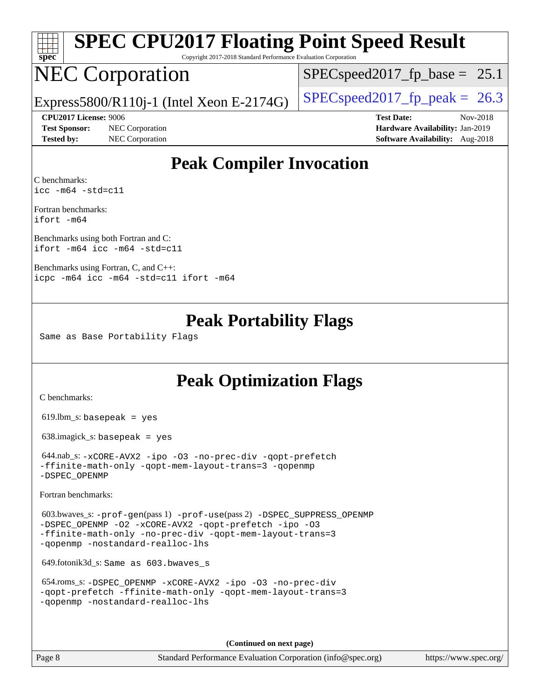| spe<br>Ľ |  |  |  |  |  |
|----------|--|--|--|--|--|

# **[SPEC CPU2017 Floating Point Speed Result](http://www.spec.org/auto/cpu2017/Docs/result-fields.html#SPECCPU2017FloatingPointSpeedResult)**

Copyright 2017-2018 Standard Performance Evaluation Corporation

## NEC Corporation

 $SPECspeed2017_fp\_base = 25.1$ 

Express5800/R110j-1 (Intel Xeon E-2174G)  $\left|$  [SPECspeed2017\\_fp\\_peak =](http://www.spec.org/auto/cpu2017/Docs/result-fields.html#SPECspeed2017fppeak) 26.3

**[Test Sponsor:](http://www.spec.org/auto/cpu2017/Docs/result-fields.html#TestSponsor)** NEC Corporation **[Hardware Availability:](http://www.spec.org/auto/cpu2017/Docs/result-fields.html#HardwareAvailability)** Jan-2019 **[Tested by:](http://www.spec.org/auto/cpu2017/Docs/result-fields.html#Testedby)** NEC Corporation **[Software Availability:](http://www.spec.org/auto/cpu2017/Docs/result-fields.html#SoftwareAvailability)** Aug-2018

**[CPU2017 License:](http://www.spec.org/auto/cpu2017/Docs/result-fields.html#CPU2017License)** 9006 **[Test Date:](http://www.spec.org/auto/cpu2017/Docs/result-fields.html#TestDate)** Nov-2018

## **[Peak Compiler Invocation](http://www.spec.org/auto/cpu2017/Docs/result-fields.html#PeakCompilerInvocation)**

[C benchmarks](http://www.spec.org/auto/cpu2017/Docs/result-fields.html#Cbenchmarks): [icc -m64 -std=c11](http://www.spec.org/cpu2017/results/res2018q4/cpu2017-20181210-10056.flags.html#user_CCpeak_intel_icc_64bit_c11_33ee0cdaae7deeeab2a9725423ba97205ce30f63b9926c2519791662299b76a0318f32ddfffdc46587804de3178b4f9328c46fa7c2b0cd779d7a61945c91cd35)

[Fortran benchmarks:](http://www.spec.org/auto/cpu2017/Docs/result-fields.html#Fortranbenchmarks) [ifort -m64](http://www.spec.org/cpu2017/results/res2018q4/cpu2017-20181210-10056.flags.html#user_FCpeak_intel_ifort_64bit_24f2bb282fbaeffd6157abe4f878425411749daecae9a33200eee2bee2fe76f3b89351d69a8130dd5949958ce389cf37ff59a95e7a40d588e8d3a57e0c3fd751)

[Benchmarks using both Fortran and C](http://www.spec.org/auto/cpu2017/Docs/result-fields.html#BenchmarksusingbothFortranandC): [ifort -m64](http://www.spec.org/cpu2017/results/res2018q4/cpu2017-20181210-10056.flags.html#user_CC_FCpeak_intel_ifort_64bit_24f2bb282fbaeffd6157abe4f878425411749daecae9a33200eee2bee2fe76f3b89351d69a8130dd5949958ce389cf37ff59a95e7a40d588e8d3a57e0c3fd751) [icc -m64 -std=c11](http://www.spec.org/cpu2017/results/res2018q4/cpu2017-20181210-10056.flags.html#user_CC_FCpeak_intel_icc_64bit_c11_33ee0cdaae7deeeab2a9725423ba97205ce30f63b9926c2519791662299b76a0318f32ddfffdc46587804de3178b4f9328c46fa7c2b0cd779d7a61945c91cd35)

[Benchmarks using Fortran, C, and C++](http://www.spec.org/auto/cpu2017/Docs/result-fields.html#BenchmarksusingFortranCandCXX): [icpc -m64](http://www.spec.org/cpu2017/results/res2018q4/cpu2017-20181210-10056.flags.html#user_CC_CXX_FCpeak_intel_icpc_64bit_4ecb2543ae3f1412ef961e0650ca070fec7b7afdcd6ed48761b84423119d1bf6bdf5cad15b44d48e7256388bc77273b966e5eb805aefd121eb22e9299b2ec9d9) [icc -m64 -std=c11](http://www.spec.org/cpu2017/results/res2018q4/cpu2017-20181210-10056.flags.html#user_CC_CXX_FCpeak_intel_icc_64bit_c11_33ee0cdaae7deeeab2a9725423ba97205ce30f63b9926c2519791662299b76a0318f32ddfffdc46587804de3178b4f9328c46fa7c2b0cd779d7a61945c91cd35) [ifort -m64](http://www.spec.org/cpu2017/results/res2018q4/cpu2017-20181210-10056.flags.html#user_CC_CXX_FCpeak_intel_ifort_64bit_24f2bb282fbaeffd6157abe4f878425411749daecae9a33200eee2bee2fe76f3b89351d69a8130dd5949958ce389cf37ff59a95e7a40d588e8d3a57e0c3fd751)

## **[Peak Portability Flags](http://www.spec.org/auto/cpu2017/Docs/result-fields.html#PeakPortabilityFlags)**

Same as Base Portability Flags

## **[Peak Optimization Flags](http://www.spec.org/auto/cpu2017/Docs/result-fields.html#PeakOptimizationFlags)**

[C benchmarks](http://www.spec.org/auto/cpu2017/Docs/result-fields.html#Cbenchmarks):

619.lbm\_s: basepeak = yes

638.imagick\_s: basepeak = yes

 644.nab\_s: [-xCORE-AVX2](http://www.spec.org/cpu2017/results/res2018q4/cpu2017-20181210-10056.flags.html#user_peakCOPTIMIZE644_nab_s_f-xCORE-AVX2) [-ipo](http://www.spec.org/cpu2017/results/res2018q4/cpu2017-20181210-10056.flags.html#user_peakCOPTIMIZE644_nab_s_f-ipo) [-O3](http://www.spec.org/cpu2017/results/res2018q4/cpu2017-20181210-10056.flags.html#user_peakCOPTIMIZE644_nab_s_f-O3) [-no-prec-div](http://www.spec.org/cpu2017/results/res2018q4/cpu2017-20181210-10056.flags.html#user_peakCOPTIMIZE644_nab_s_f-no-prec-div) [-qopt-prefetch](http://www.spec.org/cpu2017/results/res2018q4/cpu2017-20181210-10056.flags.html#user_peakCOPTIMIZE644_nab_s_f-qopt-prefetch) [-ffinite-math-only](http://www.spec.org/cpu2017/results/res2018q4/cpu2017-20181210-10056.flags.html#user_peakCOPTIMIZE644_nab_s_f_finite_math_only_cb91587bd2077682c4b38af759c288ed7c732db004271a9512da14a4f8007909a5f1427ecbf1a0fb78ff2a814402c6114ac565ca162485bbcae155b5e4258871) [-qopt-mem-layout-trans=3](http://www.spec.org/cpu2017/results/res2018q4/cpu2017-20181210-10056.flags.html#user_peakCOPTIMIZE644_nab_s_f-qopt-mem-layout-trans_de80db37974c74b1f0e20d883f0b675c88c3b01e9d123adea9b28688d64333345fb62bc4a798493513fdb68f60282f9a726aa07f478b2f7113531aecce732043) [-qopenmp](http://www.spec.org/cpu2017/results/res2018q4/cpu2017-20181210-10056.flags.html#user_peakCOPTIMIZE644_nab_s_qopenmp_16be0c44f24f464004c6784a7acb94aca937f053568ce72f94b139a11c7c168634a55f6653758ddd83bcf7b8463e8028bb0b48b77bcddc6b78d5d95bb1df2967) [-DSPEC\\_OPENMP](http://www.spec.org/cpu2017/results/res2018q4/cpu2017-20181210-10056.flags.html#suite_peakCOPTIMIZE644_nab_s_DSPEC_OPENMP)

[Fortran benchmarks](http://www.spec.org/auto/cpu2017/Docs/result-fields.html#Fortranbenchmarks):

 603.bwaves\_s: [-prof-gen](http://www.spec.org/cpu2017/results/res2018q4/cpu2017-20181210-10056.flags.html#user_peakPASS1_FFLAGSPASS1_LDFLAGS603_bwaves_s_prof_gen_5aa4926d6013ddb2a31985c654b3eb18169fc0c6952a63635c234f711e6e63dd76e94ad52365559451ec499a2cdb89e4dc58ba4c67ef54ca681ffbe1461d6b36)(pass 1) [-prof-use](http://www.spec.org/cpu2017/results/res2018q4/cpu2017-20181210-10056.flags.html#user_peakPASS2_FFLAGSPASS2_LDFLAGS603_bwaves_s_prof_use_1a21ceae95f36a2b53c25747139a6c16ca95bd9def2a207b4f0849963b97e94f5260e30a0c64f4bb623698870e679ca08317ef8150905d41bd88c6f78df73f19)(pass 2) [-DSPEC\\_SUPPRESS\\_OPENMP](http://www.spec.org/cpu2017/results/res2018q4/cpu2017-20181210-10056.flags.html#suite_peakPASS1_FOPTIMIZE603_bwaves_s_DSPEC_SUPPRESS_OPENMP) [-DSPEC\\_OPENMP](http://www.spec.org/cpu2017/results/res2018q4/cpu2017-20181210-10056.flags.html#suite_peakPASS2_FOPTIMIZE603_bwaves_s_DSPEC_OPENMP) [-O2](http://www.spec.org/cpu2017/results/res2018q4/cpu2017-20181210-10056.flags.html#user_peakPASS1_FOPTIMIZE603_bwaves_s_f-O2) [-xCORE-AVX2](http://www.spec.org/cpu2017/results/res2018q4/cpu2017-20181210-10056.flags.html#user_peakPASS2_FOPTIMIZE603_bwaves_s_f-xCORE-AVX2) [-qopt-prefetch](http://www.spec.org/cpu2017/results/res2018q4/cpu2017-20181210-10056.flags.html#user_peakPASS1_FOPTIMIZEPASS2_FOPTIMIZE603_bwaves_s_f-qopt-prefetch) [-ipo](http://www.spec.org/cpu2017/results/res2018q4/cpu2017-20181210-10056.flags.html#user_peakPASS2_FOPTIMIZE603_bwaves_s_f-ipo) [-O3](http://www.spec.org/cpu2017/results/res2018q4/cpu2017-20181210-10056.flags.html#user_peakPASS2_FOPTIMIZE603_bwaves_s_f-O3) [-ffinite-math-only](http://www.spec.org/cpu2017/results/res2018q4/cpu2017-20181210-10056.flags.html#user_peakPASS1_FOPTIMIZEPASS2_FOPTIMIZE603_bwaves_s_f_finite_math_only_cb91587bd2077682c4b38af759c288ed7c732db004271a9512da14a4f8007909a5f1427ecbf1a0fb78ff2a814402c6114ac565ca162485bbcae155b5e4258871) [-no-prec-div](http://www.spec.org/cpu2017/results/res2018q4/cpu2017-20181210-10056.flags.html#user_peakPASS2_FOPTIMIZE603_bwaves_s_f-no-prec-div) [-qopt-mem-layout-trans=3](http://www.spec.org/cpu2017/results/res2018q4/cpu2017-20181210-10056.flags.html#user_peakPASS1_FOPTIMIZEPASS2_FOPTIMIZE603_bwaves_s_f-qopt-mem-layout-trans_de80db37974c74b1f0e20d883f0b675c88c3b01e9d123adea9b28688d64333345fb62bc4a798493513fdb68f60282f9a726aa07f478b2f7113531aecce732043) [-qopenmp](http://www.spec.org/cpu2017/results/res2018q4/cpu2017-20181210-10056.flags.html#user_peakPASS2_FOPTIMIZE603_bwaves_s_qopenmp_16be0c44f24f464004c6784a7acb94aca937f053568ce72f94b139a11c7c168634a55f6653758ddd83bcf7b8463e8028bb0b48b77bcddc6b78d5d95bb1df2967) [-nostandard-realloc-lhs](http://www.spec.org/cpu2017/results/res2018q4/cpu2017-20181210-10056.flags.html#user_peakEXTRA_FOPTIMIZE603_bwaves_s_f_2003_std_realloc_82b4557e90729c0f113870c07e44d33d6f5a304b4f63d4c15d2d0f1fab99f5daaed73bdb9275d9ae411527f28b936061aa8b9c8f2d63842963b95c9dd6426b8a)

649.fotonik3d\_s: Same as 603.bwaves\_s

```
 654.roms_s: -DSPEC_OPENMP -xCORE-AVX2 -ipo -O3 -no-prec-div
-qopt-prefetch -ffinite-math-only -qopt-mem-layout-trans=3
-qopenmp -nostandard-realloc-lhs
```
**(Continued on next page)**